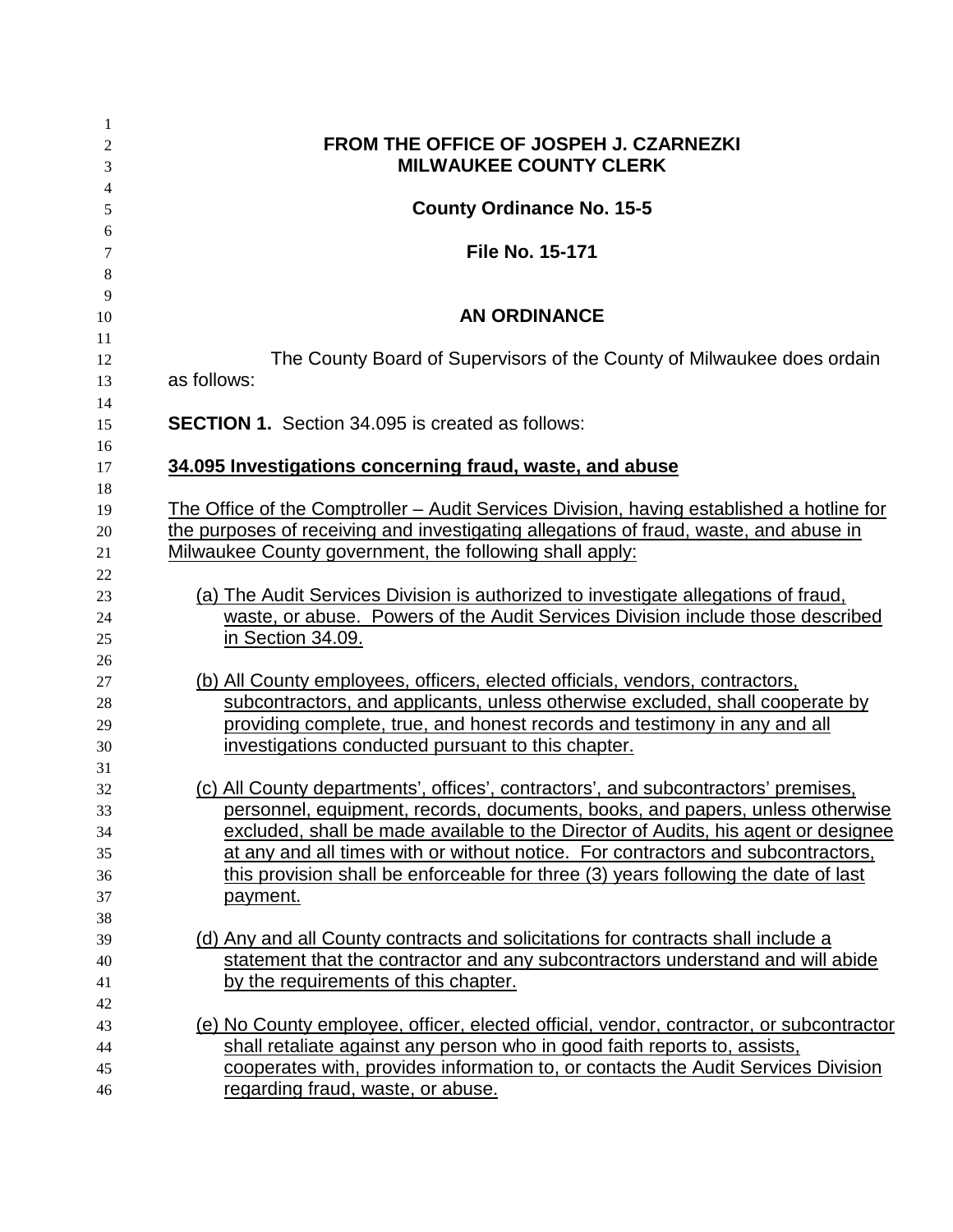| 1        |                                                                                                                                 |
|----------|---------------------------------------------------------------------------------------------------------------------------------|
| 2        | FROM THE OFFICE OF JOSPEH J. CZARNEZKI                                                                                          |
| 3        | <b>MILWAUKEE COUNTY CLERK</b>                                                                                                   |
| 4        |                                                                                                                                 |
| 5        | <b>County Ordinance No. 15-5</b>                                                                                                |
| 6        |                                                                                                                                 |
| 7        | <b>File No. 15-171</b>                                                                                                          |
| 8        |                                                                                                                                 |
| 9        |                                                                                                                                 |
| 10       | <b>AN ORDINANCE</b>                                                                                                             |
| 11       | The County Board of Supervisors of the County of Milwaukee does ordain                                                          |
| 12       | as follows:                                                                                                                     |
| 13<br>14 |                                                                                                                                 |
| 15       | <b>SECTION 1.</b> Section 34.095 is created as follows:                                                                         |
| 16       |                                                                                                                                 |
| 17       | 34.095 Investigations concerning fraud, waste, and abuse                                                                        |
| 18       |                                                                                                                                 |
| 19       | The Office of the Comptroller - Audit Services Division, having established a hotline for                                       |
| 20       | the purposes of receiving and investigating allegations of fraud, waste, and abuse in                                           |
| 21       | Milwaukee County government, the following shall apply:                                                                         |
| 22       |                                                                                                                                 |
| 23       | (a) The Audit Services Division is authorized to investigate allegations of fraud,                                              |
| 24       | waste, or abuse. Powers of the Audit Services Division include those described                                                  |
| 25       | in Section 34.09.                                                                                                               |
| 26       |                                                                                                                                 |
| 27       | (b) All County employees, officers, elected officials, vendors, contractors,                                                    |
| 28       | subcontractors, and applicants, unless otherwise excluded, shall cooperate by                                                   |
| 29       | providing complete, true, and honest records and testimony in any and all<br>investigations conducted pursuant to this chapter. |
| 30<br>31 |                                                                                                                                 |
| 32       | (c) All County departments', offices', contractors', and subcontractors' premises,                                              |
| 33       | personnel, equipment, records, documents, books, and papers, unless otherwise                                                   |
| 34       | excluded, shall be made available to the Director of Audits, his agent or designee                                              |
| 35       | at any and all times with or without notice. For contractors and subcontractors,                                                |
| 36       | this provision shall be enforceable for three (3) years following the date of last                                              |
| 37       | payment.                                                                                                                        |
| 38       |                                                                                                                                 |
| 39       | (d) Any and all County contracts and solicitations for contracts shall include a                                                |
| 40       | statement that the contractor and any subcontractors understand and will abide                                                  |
| 41       | by the requirements of this chapter.                                                                                            |
| 42       |                                                                                                                                 |
| 43       | (e) No County employee, officer, elected official, vendor, contractor, or subcontractor                                         |
| 44       | shall retaliate against any person who in good faith reports to, assists,                                                       |
| 45       | cooperates with, provides information to, or contacts the Audit Services Division                                               |
| 46       | regarding fraud, waste, or abuse.                                                                                               |